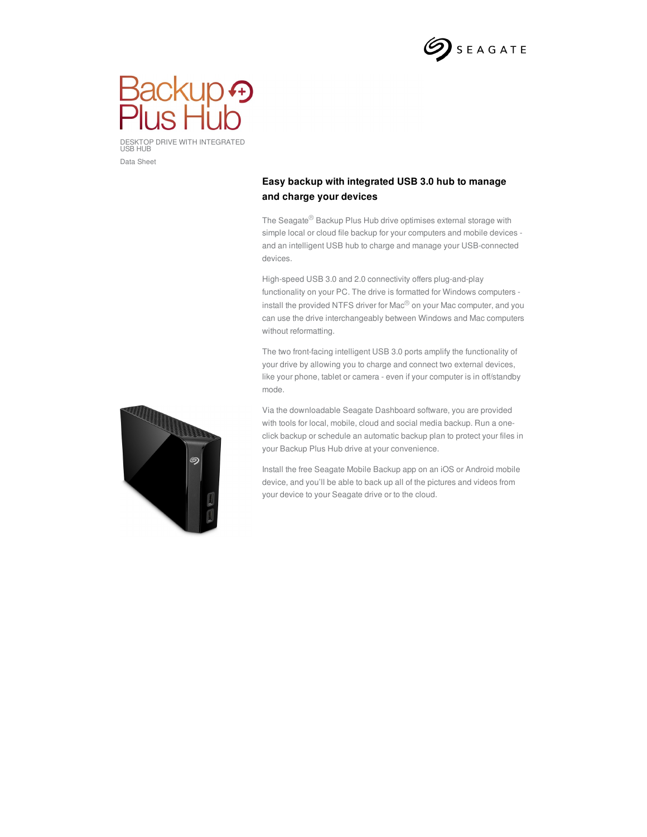



DESKTOP DRIVE WITH INTEGRATED USB HUB Data Sheet

## **Easy backup with integrated USB 3.0 hub to manage and charge your devices**

The Seagate® Backup Plus Hub drive optimises external storage with simple local or cloud file backup for your computers and mobile devices and an intelligent USB hub to charge and manage your USB-connected devices.

High-speed USB 3.0 and 2.0 connectivity offers plug-and-play functionality on your PC. The drive is formatted for Windows computers install the provided NTFS driver for Mac® on your Mac computer, and you can use the drive interchangeably between Windows and Mac computers without reformatting.

The two front-facing intelligent USB 3.0 ports amplify the functionality of your drive by allowing you to charge and connect two external devices, like your phone, tablet or camera - even if your computer is in off/standby mode.

Via the downloadable Seagate Dashboard software, you are provided with tools for local, mobile, cloud and social media backup. Run a oneclick backup or schedule an automatic backup plan to protect your files in your Backup Plus Hub drive at your convenience.

Install the free Seagate Mobile Backup app on an iOS or Android mobile device, and you'll be able to back up all of the pictures and videos from your device to your Seagate drive or to the cloud.